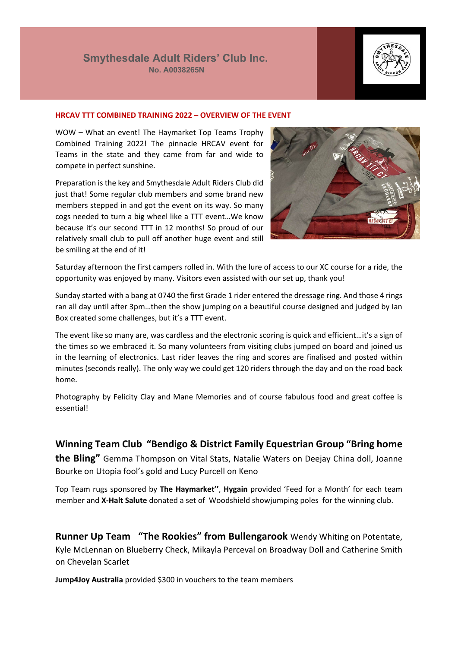# **HRCAV TTT COMBINED TRAINING 2022 – OVERVIEW OF THE EVENT**

WOW – What an event! The Haymarket Top Teams Trophy Combined Training 2022! The pinnacle HRCAV event for Teams in the state and they came from far and wide to compete in perfect sunshine.

Preparation is the key and Smythesdale Adult Riders Club did just that! Some regular club members and some brand new members stepped in and got the event on its way. So many cogs needed to turn a big wheel like a TTT event…We know because it's our second TTT in 12 months! So proud of our relatively small club to pull off another huge event and still be smiling at the end of it!



Saturday afternoon the first campers rolled in. With the lure of access to our XC course for a ride, the opportunity was enjoyed by many. Visitors even assisted with our set up, thank you!

Sunday started with a bang at 0740 the first Grade 1 rider entered the dressage ring. And those 4 rings ran all day until after 3pm…then the show jumping on a beautiful course designed and judged by Ian Box created some challenges, but it's a TTT event.

The event like so many are, was cardless and the electronic scoring is quick and efficient…it's a sign of the times so we embraced it. So many volunteers from visiting clubs jumped on board and joined us in the learning of electronics. Last rider leaves the ring and scores are finalised and posted within minutes (seconds really). The only way we could get 120 riders through the day and on the road back home.

Photography by Felicity Clay and Mane Memories and of course fabulous food and great coffee is essential!

**Winning Team Club "Bendigo & District Family Equestrian Group "Bring home the Bling"** Gemma Thompson on Vital Stats, Natalie Waters on Deejay China doll, Joanne Bourke on Utopia fool's gold and Lucy Purcell on Keno

Top Team rugs sponsored by **The Haymarket''**, **Hygain** provided 'Feed for a Month' for each team member and **X-Halt Salute** donated a set of Woodshield showjumping poles for the winning club.

**Runner Up Team "The Rookies" from Bullengarook** Wendy Whiting on Potentate, Kyle McLennan on Blueberry Check, Mikayla Perceval on Broadway Doll and Catherine Smith on Chevelan Scarlet

**Jump4Joy Australia** provided \$300 in vouchers to the team members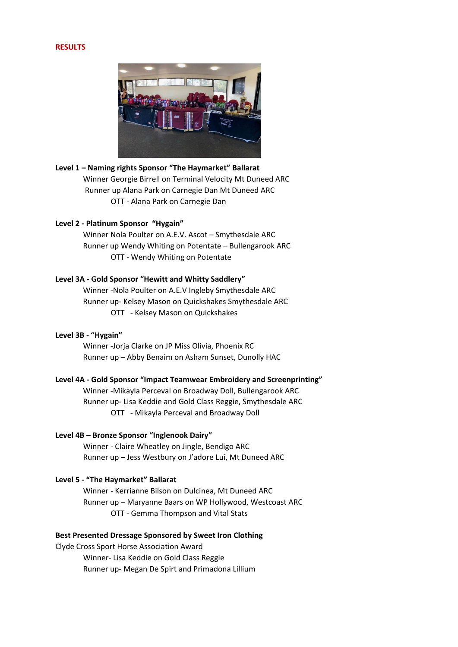### **RESULTS**



# **Level 1 – Naming rights Sponsor "The Haymarket" Ballarat**

Winner Georgie Birrell on Terminal Velocity Mt Duneed ARC Runner up Alana Park on Carnegie Dan Mt Duneed ARC OTT - Alana Park on Carnegie Dan

#### **Level 2 - Platinum Sponsor "Hygain"**

Winner Nola Poulter on A.E.V. Ascot – Smythesdale ARC Runner up Wendy Whiting on Potentate – Bullengarook ARC OTT - Wendy Whiting on Potentate

#### **Level 3A - Gold Sponsor "Hewitt and Whitty Saddlery"**

Winner -Nola Poulter on A.E.V Ingleby Smythesdale ARC Runner up- Kelsey Mason on Quickshakes Smythesdale ARC OTT - Kelsey Mason on Quickshakes

### **Level 3B - "Hygain"**

Winner -Jorja Clarke on JP Miss Olivia, Phoenix RC Runner up – Abby Benaim on Asham Sunset, Dunolly HAC

### **Level 4A - Gold Sponsor "Impact Teamwear Embroidery and Screenprinting"**

Winner -Mikayla Perceval on Broadway Doll, Bullengarook ARC Runner up- Lisa Keddie and Gold Class Reggie, Smythesdale ARC OTT - Mikayla Perceval and Broadway Doll

# **Level 4B – Bronze Sponsor "Inglenook Dairy"**

Winner - Claire Wheatley on Jingle, Bendigo ARC Runner up – Jess Westbury on J'adore Lui, Mt Duneed ARC

#### **Level 5 - "The Haymarket" Ballarat**

Winner - Kerrianne Bilson on Dulcinea, Mt Duneed ARC Runner up – Maryanne Baars on WP Hollywood, Westcoast ARC OTT - Gemma Thompson and Vital Stats

## **Best Presented Dressage Sponsored by Sweet Iron Clothing**

Clyde Cross Sport Horse Association Award Winner- Lisa Keddie on Gold Class Reggie Runner up- Megan De Spirt and Primadona Lillium